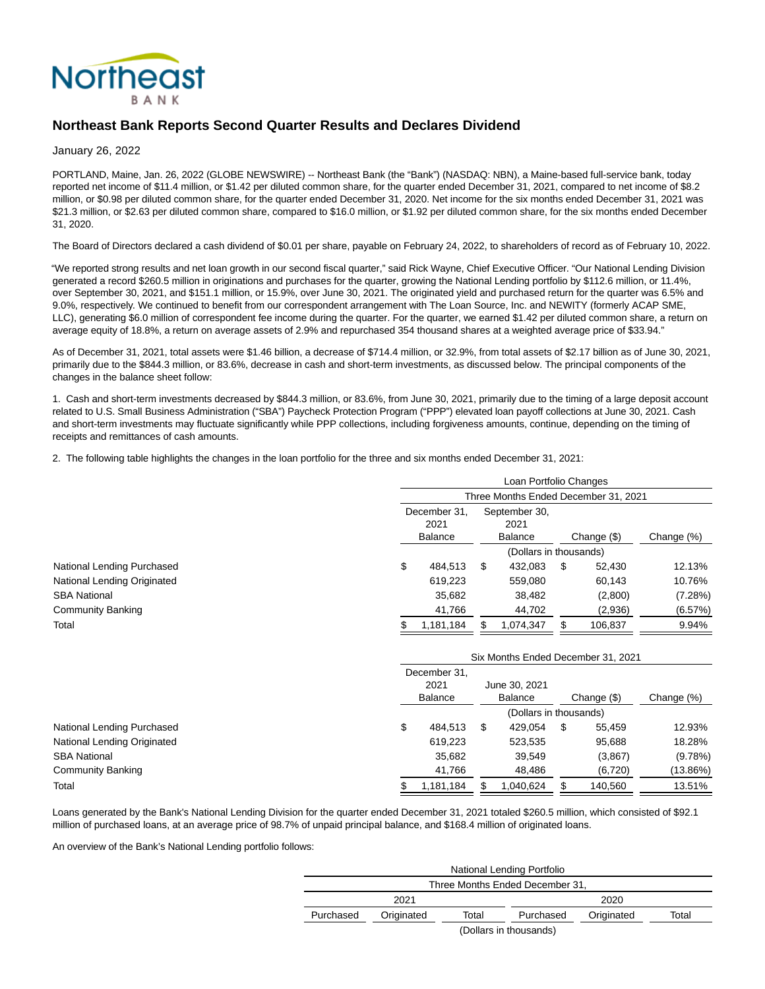

# **Northeast Bank Reports Second Quarter Results and Declares Dividend**

### January 26, 2022

PORTLAND, Maine, Jan. 26, 2022 (GLOBE NEWSWIRE) -- Northeast Bank (the "Bank") (NASDAQ: NBN), a Maine-based full-service bank, today reported net income of \$11.4 million, or \$1.42 per diluted common share, for the quarter ended December 31, 2021, compared to net income of \$8.2 million, or \$0.98 per diluted common share, for the quarter ended December 31, 2020. Net income for the six months ended December 31, 2021 was \$21.3 million, or \$2.63 per diluted common share, compared to \$16.0 million, or \$1.92 per diluted common share, for the six months ended December 31, 2020.

The Board of Directors declared a cash dividend of \$0.01 per share, payable on February 24, 2022, to shareholders of record as of February 10, 2022.

"We reported strong results and net loan growth in our second fiscal quarter," said Rick Wayne, Chief Executive Officer. "Our National Lending Division generated a record \$260.5 million in originations and purchases for the quarter, growing the National Lending portfolio by \$112.6 million, or 11.4%, over September 30, 2021, and \$151.1 million, or 15.9%, over June 30, 2021. The originated yield and purchased return for the quarter was 6.5% and 9.0%, respectively. We continued to benefit from our correspondent arrangement with The Loan Source, Inc. and NEWITY (formerly ACAP SME, LLC), generating \$6.0 million of correspondent fee income during the quarter. For the quarter, we earned \$1.42 per diluted common share, a return on average equity of 18.8%, a return on average assets of 2.9% and repurchased 354 thousand shares at a weighted average price of \$33.94."

As of December 31, 2021, total assets were \$1.46 billion, a decrease of \$714.4 million, or 32.9%, from total assets of \$2.17 billion as of June 30, 2021, primarily due to the \$844.3 million, or 83.6%, decrease in cash and short-term investments, as discussed below. The principal components of the changes in the balance sheet follow:

1. Cash and short-term investments decreased by \$844.3 million, or 83.6%, from June 30, 2021, primarily due to the timing of a large deposit account related to U.S. Small Business Administration ("SBA") Paycheck Protection Program ("PPP") elevated loan payoff collections at June 30, 2021. Cash and short-term investments may fluctuate significantly while PPP collections, including forgiveness amounts, continue, depending on the timing of receipts and remittances of cash amounts.

2. The following table highlights the changes in the loan portfolio for the three and six months ended December 31, 2021:

|                             | Loan Portfolio Changes                 |   |                                         |     |              |            |  |  |  |
|-----------------------------|----------------------------------------|---|-----------------------------------------|-----|--------------|------------|--|--|--|
|                             | Three Months Ended December 31, 2021   |   |                                         |     |              |            |  |  |  |
|                             | December 31.<br>2021<br><b>Balance</b> |   | September 30,<br>2021<br><b>Balance</b> |     | Change $($ ) | Change (%) |  |  |  |
|                             |                                        |   | (Dollars in thousands)                  |     |              |            |  |  |  |
| National Lending Purchased  | \$<br>484.513                          | S | 432.083                                 | \$. | 52.430       | 12.13%     |  |  |  |
| National Lending Originated | 619.223                                |   | 559.080                                 |     | 60,143       | 10.76%     |  |  |  |
| <b>SBA National</b>         | 35,682                                 |   | 38,482                                  |     | (2,800)      | (7.28%)    |  |  |  |
| <b>Community Banking</b>    | 41,766                                 |   | 44,702                                  |     | (2,936)      | (6.57%)    |  |  |  |
| Total                       | 1,181,184                              |   | 1.074.347                               |     | 106,837      | 9.94%      |  |  |  |

|                             |                      |   |                        |   | Six Months Ended December 31, 2021 |            |
|-----------------------------|----------------------|---|------------------------|---|------------------------------------|------------|
|                             | December 31,<br>2021 |   | June 30, 2021          |   |                                    |            |
|                             | <b>Balance</b>       |   | <b>Balance</b>         |   | Change (\$)                        | Change (%) |
|                             |                      |   | (Dollars in thousands) |   |                                    |            |
| National Lending Purchased  | \$<br>484.513        | S | 429.054                | S | 55,459                             | 12.93%     |
| National Lending Originated | 619.223              |   | 523.535                |   | 95,688                             | 18.28%     |
| <b>SBA National</b>         | 35,682               |   | 39.549                 |   | (3,867)                            | (9.78%)    |
| <b>Community Banking</b>    | 41,766               |   | 48,486                 |   | (6, 720)                           | (13.86%)   |
| Total                       | 1.181.184            |   | .040.624               |   | 140.560                            | 13.51%     |

Loans generated by the Bank's National Lending Division for the quarter ended December 31, 2021 totaled \$260.5 million, which consisted of \$92.1 million of purchased loans, at an average price of 98.7% of unpaid principal balance, and \$168.4 million of originated loans.

An overview of the Bank's National Lending portfolio follows:

|           |            |       | National Lending Portfolio      |            |       |
|-----------|------------|-------|---------------------------------|------------|-------|
|           |            |       | Three Months Ended December 31, |            |       |
|           | 2021       |       |                                 | 2020       |       |
| Purchased | Originated | Total | Purchased                       | Originated | Total |
|           |            |       | (Dollars in thousands)          |            |       |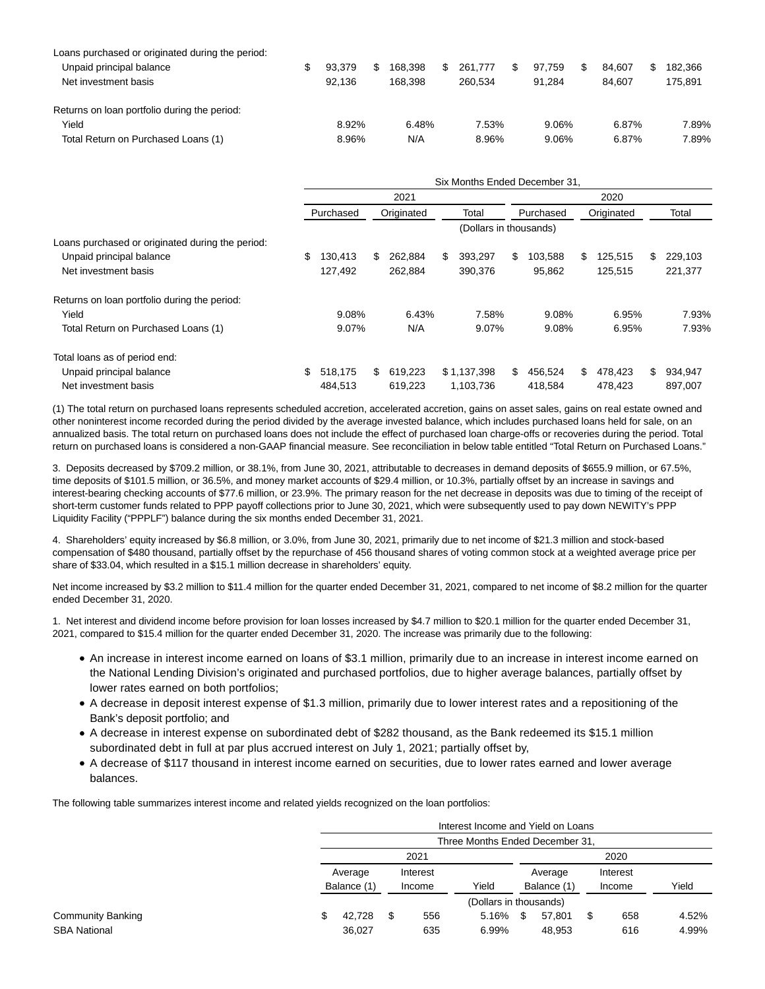| Loans purchased or originated during the period: |        |         |         |        |        |   |         |
|--------------------------------------------------|--------|---------|---------|--------|--------|---|---------|
| Unpaid principal balance                         | 93.379 | 168.398 | 261.777 | 97.759 | 84.607 | S | 182.366 |
| Net investment basis                             | 92.136 | 168.398 | 260.534 | 91.284 | 84.607 |   | 175.891 |
| Returns on loan portfolio during the period:     |        |         |         |        |        |   |         |
| Yield                                            | 8.92%  | 6.48%   | 7.53%   | 9.06%  | 6.87%  |   | 7.89%   |
| Total Return on Purchased Loans (1)              | 8.96%  | N/A     | 8.96%   | 9.06%  | 6.87%  |   | 7.89%   |

|                                                  |     |           |     |            | Six Months Ended December 31, |     |           |               |     |         |
|--------------------------------------------------|-----|-----------|-----|------------|-------------------------------|-----|-----------|---------------|-----|---------|
|                                                  |     |           |     | 2021       |                               |     |           | 2020          |     |         |
|                                                  |     | Purchased |     | Originated | Total                         |     | Purchased | Originated    |     | Total   |
|                                                  |     |           |     |            | (Dollars in thousands)        |     |           |               |     |         |
| Loans purchased or originated during the period: |     |           |     |            |                               |     |           |               |     |         |
| Unpaid principal balance                         | \$. | 130.413   | \$. | 262.884    | \$<br>393.297                 | \$. | 103.588   | \$<br>125.515 | \$. | 229,103 |
| Net investment basis                             |     | 127,492   |     | 262,884    | 390.376                       |     | 95,862    | 125,515       |     | 221,377 |
| Returns on loan portfolio during the period:     |     |           |     |            |                               |     |           |               |     |         |
| Yield                                            |     | 9.08%     |     | 6.43%      | 7.58%                         |     | 9.08%     | 6.95%         |     | 7.93%   |
| Total Return on Purchased Loans (1)              |     | 9.07%     |     | N/A        | 9.07%                         |     | 9.08%     | 6.95%         |     | 7.93%   |
| Total loans as of period end:                    |     |           |     |            |                               |     |           |               |     |         |
| Unpaid principal balance                         | \$  | 518.175   | \$  | 619.223    | \$1,137,398                   | \$  | 456.524   | \$<br>478.423 | S.  | 934,947 |
| Net investment basis                             |     | 484,513   |     | 619,223    | 1,103,736                     |     | 418,584   | 478,423       |     | 897,007 |

(1) The total return on purchased loans represents scheduled accretion, accelerated accretion, gains on asset sales, gains on real estate owned and other noninterest income recorded during the period divided by the average invested balance, which includes purchased loans held for sale, on an annualized basis. The total return on purchased loans does not include the effect of purchased loan charge-offs or recoveries during the period. Total return on purchased loans is considered a non-GAAP financial measure. See reconciliation in below table entitled "Total Return on Purchased Loans."

3. Deposits decreased by \$709.2 million, or 38.1%, from June 30, 2021, attributable to decreases in demand deposits of \$655.9 million, or 67.5%, time deposits of \$101.5 million, or 36.5%, and money market accounts of \$29.4 million, or 10.3%, partially offset by an increase in savings and interest-bearing checking accounts of \$77.6 million, or 23.9%. The primary reason for the net decrease in deposits was due to timing of the receipt of short-term customer funds related to PPP payoff collections prior to June 30, 2021, which were subsequently used to pay down NEWITY's PPP Liquidity Facility ("PPPLF") balance during the six months ended December 31, 2021.

4. Shareholders' equity increased by \$6.8 million, or 3.0%, from June 30, 2021, primarily due to net income of \$21.3 million and stock-based compensation of \$480 thousand, partially offset by the repurchase of 456 thousand shares of voting common stock at a weighted average price per share of \$33.04, which resulted in a \$15.1 million decrease in shareholders' equity.

Net income increased by \$3.2 million to \$11.4 million for the quarter ended December 31, 2021, compared to net income of \$8.2 million for the quarter ended December 31, 2020.

1. Net interest and dividend income before provision for loan losses increased by \$4.7 million to \$20.1 million for the quarter ended December 31, 2021, compared to \$15.4 million for the quarter ended December 31, 2020. The increase was primarily due to the following:

- An increase in interest income earned on loans of \$3.1 million, primarily due to an increase in interest income earned on the National Lending Division's originated and purchased portfolios, due to higher average balances, partially offset by lower rates earned on both portfolios;
- A decrease in deposit interest expense of \$1.3 million, primarily due to lower interest rates and a repositioning of the Bank's deposit portfolio; and
- A decrease in interest expense on subordinated debt of \$282 thousand, as the Bank redeemed its \$15.1 million subordinated debt in full at par plus accrued interest on July 1, 2021; partially offset by,
- A decrease of \$117 thousand in interest income earned on securities, due to lower rates earned and lower average balances.

The following table summarizes interest income and related yields recognized on the loan portfolios:

|                     |   | Interest Income and Yield on Loans |   |          |                                 |     |             |  |          |       |
|---------------------|---|------------------------------------|---|----------|---------------------------------|-----|-------------|--|----------|-------|
|                     |   |                                    |   |          | Three Months Ended December 31, |     |             |  |          |       |
|                     |   |                                    |   | 2021     |                                 |     |             |  | 2020     |       |
|                     |   | Average                            |   | Interest |                                 |     | Average     |  | Interest |       |
|                     |   | Balance (1)                        |   | Income   | Yield                           |     | Balance (1) |  | Income   | Yield |
|                     |   |                                    |   |          | (Dollars in thousands)          |     |             |  |          |       |
| Community Banking   | S | 42.728                             | S | 556      | 5.16%                           | \$. | 57.801      |  | 658      | 4.52% |
| <b>SBA National</b> |   | 36,027                             |   | 635      | 6.99%                           |     | 48,953      |  | 616      | 4.99% |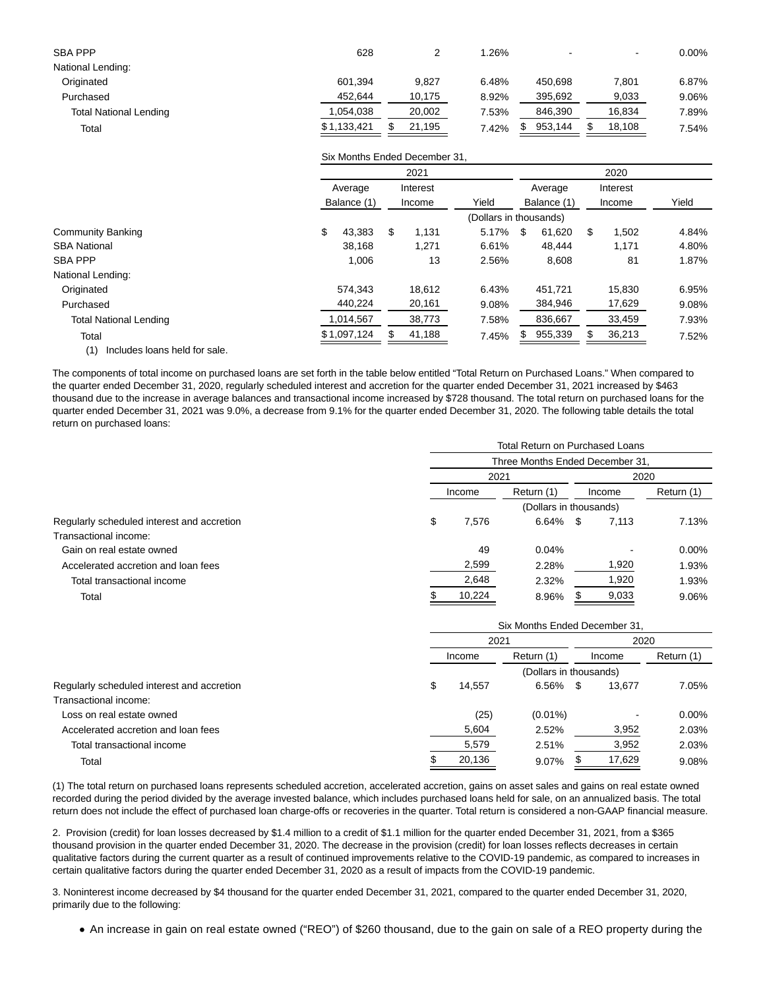| <b>SBA PPP</b>         | 628         |        | 1.26% | -       | $\overline{\phantom{0}}$ | $0.00\%$ |
|------------------------|-------------|--------|-------|---------|--------------------------|----------|
| National Lending:      |             |        |       |         |                          |          |
| Originated             | 601,394     | 9,827  | 6.48% | 450.698 | 7.801                    | 6.87%    |
| Purchased              | 452.644     | 10,175 | 8.92% | 395.692 | 9,033                    | 9.06%    |
| Total National Lending | 1.054.038   | 20,002 | 7.53% | 846.390 | 16,834                   | 7.89%    |
| Total                  | \$1,133,421 | 21,195 | 7.42% | 953,144 | 18,108                   | .54%     |
|                        |             |        |       |         |                          |          |

# Six Months Ended December 31, 2021 2020 Average Interest **Average** Interest Balance (1) Income Yield Balance (1) Income Yield (Dollars in thousands) Community Banking \$ 43,383 \$ 1,131 5.17% \$ 61,620 \$ 1,502 4.84% SBA National 38,168 1,271 6.61% 48,444 1,171 4.80% SBA PPP 1,006 13 2.56% 8,608 81 1.87% National Lending: Originated 574,343 18,612 6.43% 451,721 15,830 6.95% Purchased 440,224 20,161 9.08% 384,946 17,629 9.08% Total National Lending 1,014,567 38,773 7.58% 836,667 33,459 7.93% Total \$ 1,097,124 \$ 41,188 7.45% \$ 955,339 \$ 36,213 7.52% (1) Includes loans held for sale.

The components of total income on purchased loans are set forth in the table below entitled "Total Return on Purchased Loans." When compared to the quarter ended December 31, 2020, regularly scheduled interest and accretion for the quarter ended December 31, 2021 increased by \$463 thousand due to the increase in average balances and transactional income increased by \$728 thousand. The total return on purchased loans for the quarter ended December 31, 2021 was 9.0%, a decrease from 9.1% for the quarter ended December 31, 2020. The following table details the total return on purchased loans:

|                                            |                                 | Total Return on Purchased Loans |                      |       |            |  |  |
|--------------------------------------------|---------------------------------|---------------------------------|----------------------|-------|------------|--|--|
|                                            | Three Months Ended December 31, |                                 |                      |       |            |  |  |
|                                            | 2021                            |                                 |                      |       | 2020       |  |  |
|                                            | Income                          |                                 | Return (1)<br>Income |       | Return (1) |  |  |
|                                            |                                 | (Dollars in thousands)          |                      |       |            |  |  |
| Regularly scheduled interest and accretion | \$<br>7,576                     | 6.64%                           | - \$                 | 7,113 | 7.13%      |  |  |
| Transactional income:                      |                                 |                                 |                      |       |            |  |  |
| Gain on real estate owned                  | 49                              | 0.04%                           |                      |       | $0.00\%$   |  |  |
| Accelerated accretion and loan fees        | 2,599                           | 2.28%                           |                      | 1,920 | 1.93%      |  |  |
| Total transactional income                 | 2,648                           | 2.32%                           |                      | 1,920 | 1.93%      |  |  |
| Total                                      | 10,224                          | 8.96%                           |                      | 9,033 | 9.06%      |  |  |

|   | Income | Return (1) |      |                | Return (1)                                                                |
|---|--------|------------|------|----------------|---------------------------------------------------------------------------|
|   |        |            |      |                |                                                                           |
| S | 14.557 | 6.56%      | - \$ | 13,677         | 7.05%                                                                     |
|   |        |            |      |                |                                                                           |
|   | (25)   | $(0.01\%)$ |      | $\blacksquare$ | $0.00\%$                                                                  |
|   | 5,604  | 2.52%      |      | 3,952          | 2.03%                                                                     |
|   | 5,579  | 2.51%      |      | 3,952          | 2.03%                                                                     |
|   | 20,136 | 9.07%      |      | 17,629         | 9.08%                                                                     |
|   |        |            | 2021 |                | Six Months Ended December 31,<br>2020<br>Income<br>(Dollars in thousands) |

(1) The total return on purchased loans represents scheduled accretion, accelerated accretion, gains on asset sales and gains on real estate owned recorded during the period divided by the average invested balance, which includes purchased loans held for sale, on an annualized basis. The total return does not include the effect of purchased loan charge-offs or recoveries in the quarter. Total return is considered a non-GAAP financial measure.

2. Provision (credit) for loan losses decreased by \$1.4 million to a credit of \$1.1 million for the quarter ended December 31, 2021, from a \$365 thousand provision in the quarter ended December 31, 2020. The decrease in the provision (credit) for loan losses reflects decreases in certain qualitative factors during the current quarter as a result of continued improvements relative to the COVID-19 pandemic, as compared to increases in certain qualitative factors during the quarter ended December 31, 2020 as a result of impacts from the COVID-19 pandemic.

3. Noninterest income decreased by \$4 thousand for the quarter ended December 31, 2021, compared to the quarter ended December 31, 2020, primarily due to the following:

An increase in gain on real estate owned ("REO") of \$260 thousand, due to the gain on sale of a REO property during the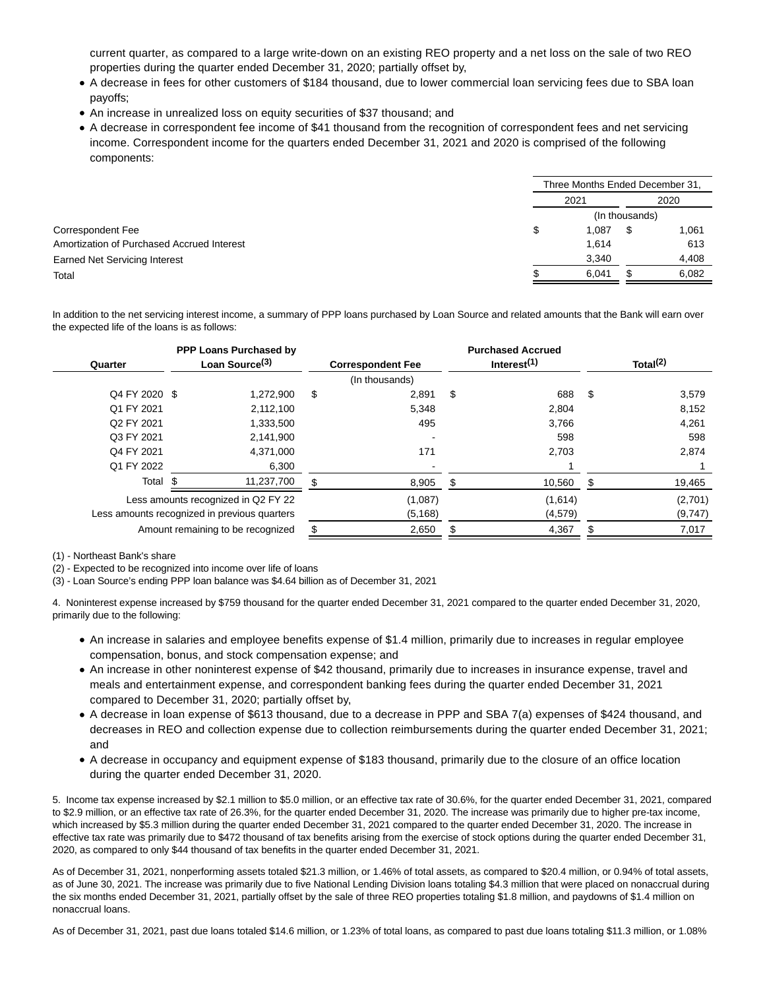current quarter, as compared to a large write-down on an existing REO property and a net loss on the sale of two REO properties during the quarter ended December 31, 2020; partially offset by,

- A decrease in fees for other customers of \$184 thousand, due to lower commercial loan servicing fees due to SBA loan payoffs;
- An increase in unrealized loss on equity securities of \$37 thousand; and
- A decrease in correspondent fee income of \$41 thousand from the recognition of correspondent fees and net servicing income. Correspondent income for the quarters ended December 31, 2021 and 2020 is comprised of the following components:

|   |       |      | 2020                                              |
|---|-------|------|---------------------------------------------------|
|   |       |      |                                                   |
| S | 1.087 | S.   | 1,061                                             |
|   | 1,614 |      | 613                                               |
|   | 3,340 |      | 4,408                                             |
|   | 6,041 |      | 6,082                                             |
|   |       | 2021 | Three Months Ended December 31,<br>(In thousands) |

In addition to the net servicing interest income, a summary of PPP loans purchased by Loan Source and related amounts that the Bank will earn over the expected life of the loans is as follows:

| Quarter       | <b>PPP Loans Purchased by</b><br>Loan Source <sup>(3)</sup> | <b>Correspondent Fee</b> |    | <b>Purchased Accrued</b><br>Interest <sup>(1)</sup> | Total $(2)$ |
|---------------|-------------------------------------------------------------|--------------------------|----|-----------------------------------------------------|-------------|
|               |                                                             | (In thousands)           |    |                                                     |             |
| Q4 FY 2020 \$ | 1,272,900                                                   | \$<br>2,891              | \$ | 688                                                 | \$<br>3,579 |
| Q1 FY 2021    | 2,112,100                                                   | 5,348                    |    | 2,804                                               | 8,152       |
| Q2 FY 2021    | 1,333,500                                                   | 495                      |    | 3,766                                               | 4,261       |
| Q3 FY 2021    | 2,141,900                                                   |                          |    | 598                                                 | 598         |
| Q4 FY 2021    | 4,371,000                                                   | 171                      |    | 2,703                                               | 2,874       |
| Q1 FY 2022    | 6,300                                                       |                          |    |                                                     |             |
| Total \$      | 11,237,700                                                  | 8,905                    | \$ | 10,560                                              | 19,465      |
|               | Less amounts recognized in Q2 FY 22                         | (1,087)                  |    | (1,614)                                             | (2,701)     |
|               | Less amounts recognized in previous quarters                | (5, 168)                 |    | (4,579)                                             | (9,747)     |
|               | Amount remaining to be recognized                           | 2,650                    | S  | 4,367                                               | 7,017       |
|               |                                                             |                          |    |                                                     |             |

(1) - Northeast Bank's share

(2) - Expected to be recognized into income over life of loans

(3) - Loan Source's ending PPP loan balance was \$4.64 billion as of December 31, 2021

4. Noninterest expense increased by \$759 thousand for the quarter ended December 31, 2021 compared to the quarter ended December 31, 2020, primarily due to the following:

- An increase in salaries and employee benefits expense of \$1.4 million, primarily due to increases in regular employee compensation, bonus, and stock compensation expense; and
- An increase in other noninterest expense of \$42 thousand, primarily due to increases in insurance expense, travel and meals and entertainment expense, and correspondent banking fees during the quarter ended December 31, 2021 compared to December 31, 2020; partially offset by,
- A decrease in loan expense of \$613 thousand, due to a decrease in PPP and SBA 7(a) expenses of \$424 thousand, and decreases in REO and collection expense due to collection reimbursements during the quarter ended December 31, 2021; and
- A decrease in occupancy and equipment expense of \$183 thousand, primarily due to the closure of an office location during the quarter ended December 31, 2020.

5. Income tax expense increased by \$2.1 million to \$5.0 million, or an effective tax rate of 30.6%, for the quarter ended December 31, 2021, compared to \$2.9 million, or an effective tax rate of 26.3%, for the quarter ended December 31, 2020. The increase was primarily due to higher pre-tax income, which increased by \$5.3 million during the quarter ended December 31, 2021 compared to the quarter ended December 31, 2020. The increase in effective tax rate was primarily due to \$472 thousand of tax benefits arising from the exercise of stock options during the quarter ended December 31, 2020, as compared to only \$44 thousand of tax benefits in the quarter ended December 31, 2021.

As of December 31, 2021, nonperforming assets totaled \$21.3 million, or 1.46% of total assets, as compared to \$20.4 million, or 0.94% of total assets, as of June 30, 2021. The increase was primarily due to five National Lending Division loans totaling \$4.3 million that were placed on nonaccrual during the six months ended December 31, 2021, partially offset by the sale of three REO properties totaling \$1.8 million, and paydowns of \$1.4 million on nonaccrual loans.

As of December 31, 2021, past due loans totaled \$14.6 million, or 1.23% of total loans, as compared to past due loans totaling \$11.3 million, or 1.08%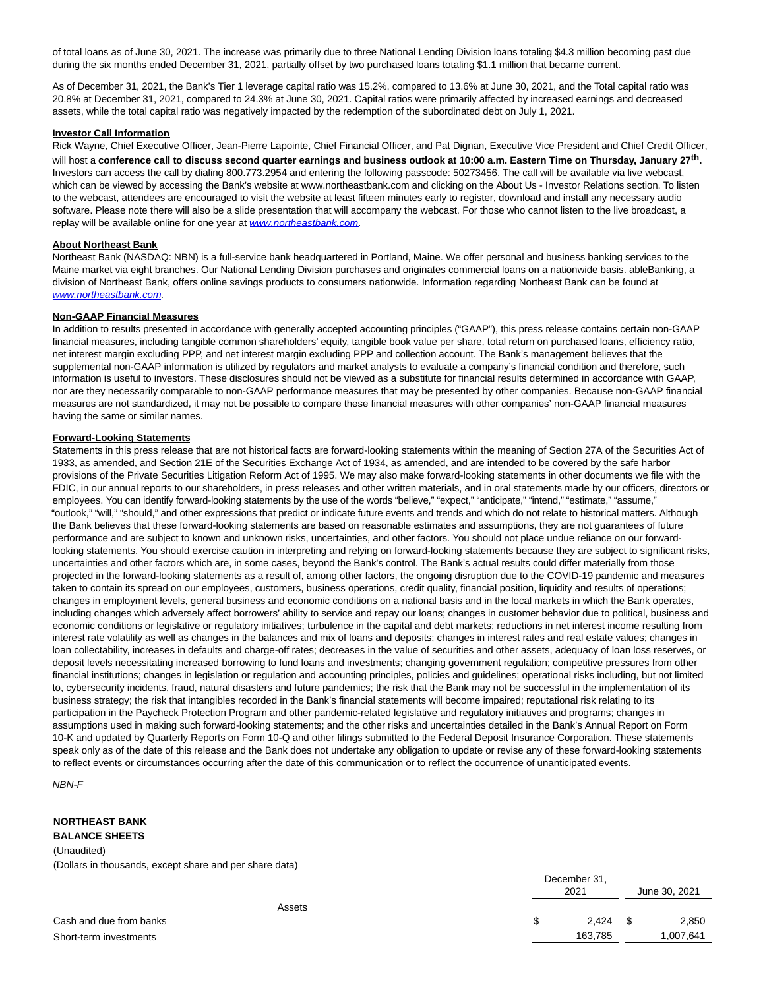of total loans as of June 30, 2021. The increase was primarily due to three National Lending Division loans totaling \$4.3 million becoming past due during the six months ended December 31, 2021, partially offset by two purchased loans totaling \$1.1 million that became current.

As of December 31, 2021, the Bank's Tier 1 leverage capital ratio was 15.2%, compared to 13.6% at June 30, 2021, and the Total capital ratio was 20.8% at December 31, 2021, compared to 24.3% at June 30, 2021. Capital ratios were primarily affected by increased earnings and decreased assets, while the total capital ratio was negatively impacted by the redemption of the subordinated debt on July 1, 2021.

#### **Investor Call Information**

Rick Wayne, Chief Executive Officer, Jean-Pierre Lapointe, Chief Financial Officer, and Pat Dignan, Executive Vice President and Chief Credit Officer, will host a **conference call to discuss second quarter earnings and business outlook at 10:00 a.m. Eastern Time on Thursday, January 27th.** Investors can access the call by dialing 800.773.2954 and entering the following passcode: 50273456. The call will be available via live webcast, which can be viewed by accessing the Bank's website at www.northeastbank.com and clicking on the About Us - Investor Relations section. To listen to the webcast, attendees are encouraged to visit the website at least fifteen minutes early to register, download and install any necessary audio software. Please note there will also be a slide presentation that will accompany the webcast. For those who cannot listen to the live broadcast, a replay will be available online for one year at [www.northeastbank.com](https://www.globenewswire.com/Tracker?data=uevbgNR_jlKy6tG_62VYtOE_T0NnNLznrAQvz6K7svEnLJp8HEj_zqKA6yDDNPbXYqObHdo-A91TmaAdBmLGYFlhMtz64G4wl-bW0x8cWow=).

### **About Northeast Bank**

Northeast Bank (NASDAQ: NBN) is a full-service bank headquartered in Portland, Maine. We offer personal and business banking services to the Maine market via eight branches. Our National Lending Division purchases and originates commercial loans on a nationwide basis. ableBanking, a division of Northeast Bank, offers online savings products to consumers nationwide. Information regarding Northeast Bank can be found at [www.northeastbank.com.](https://www.globenewswire.com/Tracker?data=uevbgNR_jlKy6tG_62VYtOE_T0NnNLznrAQvz6K7svHW2tbBwGqqlocvrswM6RHMcNBGbyWfhFrDZbsiw0swxHSSunGe_WxEjphLAjajZa0=)

### **Non-GAAP Financial Measures**

In addition to results presented in accordance with generally accepted accounting principles ("GAAP"), this press release contains certain non-GAAP financial measures, including tangible common shareholders' equity, tangible book value per share, total return on purchased loans, efficiency ratio, net interest margin excluding PPP, and net interest margin excluding PPP and collection account. The Bank's management believes that the supplemental non-GAAP information is utilized by regulators and market analysts to evaluate a company's financial condition and therefore, such information is useful to investors. These disclosures should not be viewed as a substitute for financial results determined in accordance with GAAP, nor are they necessarily comparable to non-GAAP performance measures that may be presented by other companies. Because non-GAAP financial measures are not standardized, it may not be possible to compare these financial measures with other companies' non-GAAP financial measures having the same or similar names.

#### **Forward-Looking Statements**

Statements in this press release that are not historical facts are forward-looking statements within the meaning of Section 27A of the Securities Act of 1933, as amended, and Section 21E of the Securities Exchange Act of 1934, as amended, and are intended to be covered by the safe harbor provisions of the Private Securities Litigation Reform Act of 1995. We may also make forward-looking statements in other documents we file with the FDIC, in our annual reports to our shareholders, in press releases and other written materials, and in oral statements made by our officers, directors or employees. You can identify forward-looking statements by the use of the words "believe," "expect," "anticipate," "intend," "estimate," "assume," "outlook," "will," "should," and other expressions that predict or indicate future events and trends and which do not relate to historical matters. Although the Bank believes that these forward-looking statements are based on reasonable estimates and assumptions, they are not guarantees of future performance and are subject to known and unknown risks, uncertainties, and other factors. You should not place undue reliance on our forwardlooking statements. You should exercise caution in interpreting and relying on forward-looking statements because they are subject to significant risks, uncertainties and other factors which are, in some cases, beyond the Bank's control. The Bank's actual results could differ materially from those projected in the forward-looking statements as a result of, among other factors, the ongoing disruption due to the COVID-19 pandemic and measures taken to contain its spread on our employees, customers, business operations, credit quality, financial position, liquidity and results of operations; changes in employment levels, general business and economic conditions on a national basis and in the local markets in which the Bank operates, including changes which adversely affect borrowers' ability to service and repay our loans; changes in customer behavior due to political, business and economic conditions or legislative or regulatory initiatives; turbulence in the capital and debt markets; reductions in net interest income resulting from interest rate volatility as well as changes in the balances and mix of loans and deposits; changes in interest rates and real estate values; changes in loan collectability, increases in defaults and charge-off rates; decreases in the value of securities and other assets, adequacy of loan loss reserves, or deposit levels necessitating increased borrowing to fund loans and investments; changing government regulation; competitive pressures from other financial institutions; changes in legislation or regulation and accounting principles, policies and guidelines; operational risks including, but not limited to, cybersecurity incidents, fraud, natural disasters and future pandemics; the risk that the Bank may not be successful in the implementation of its business strategy; the risk that intangibles recorded in the Bank's financial statements will become impaired; reputational risk relating to its participation in the Paycheck Protection Program and other pandemic-related legislative and regulatory initiatives and programs; changes in assumptions used in making such forward-looking statements; and the other risks and uncertainties detailed in the Bank's Annual Report on Form 10-K and updated by Quarterly Reports on Form 10-Q and other filings submitted to the Federal Deposit Insurance Corporation. These statements speak only as of the date of this release and the Bank does not undertake any obligation to update or revise any of these forward-looking statements to reflect events or circumstances occurring after the date of this communication or to reflect the occurrence of unanticipated events.

NBN-F

## **NORTHEAST BANK**

### **BALANCE SHEETS** (Unaudited) (Dollars in thousands, except share and per share data)

|                         | December 31, |               |
|-------------------------|--------------|---------------|
|                         | 2021         | June 30, 2021 |
| Assets                  |              |               |
| Cash and due from banks | 2.424<br>S.  | 2,850<br>\$.  |
| Short-term investments  | 163.785      | 1,007,641     |
|                         |              |               |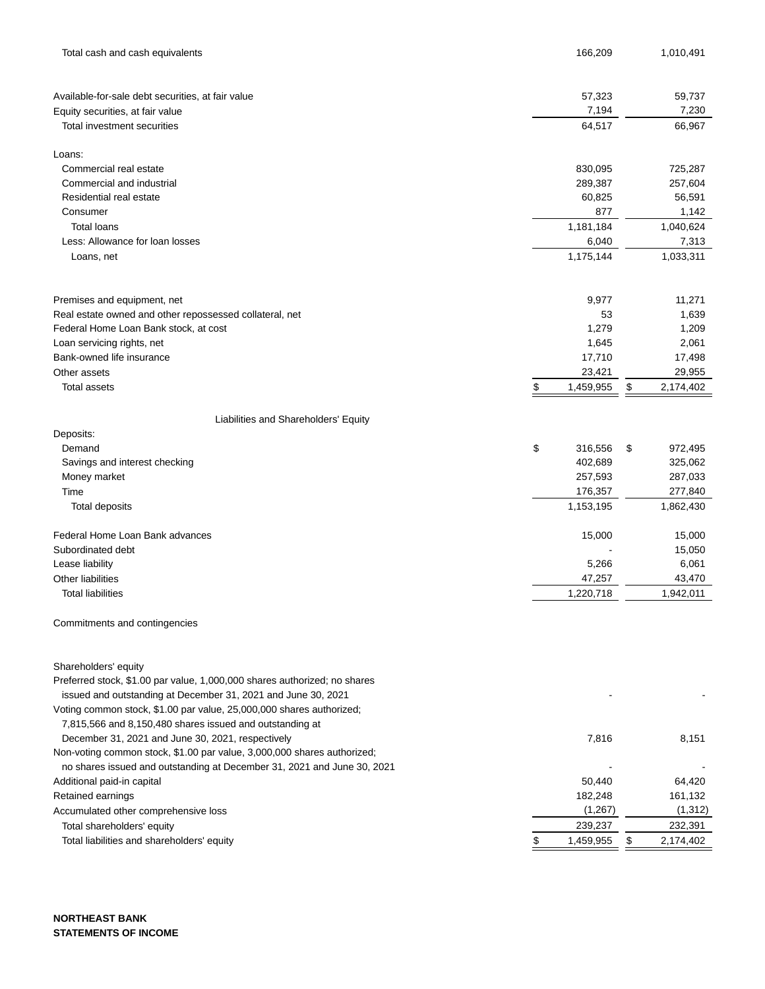| Total cash and cash equivalents                                                                                                  | 166,209         | 1,010,491       |
|----------------------------------------------------------------------------------------------------------------------------------|-----------------|-----------------|
| Available-for-sale debt securities, at fair value                                                                                | 57,323          | 59,737          |
| Equity securities, at fair value                                                                                                 | 7,194           | 7,230           |
| Total investment securities                                                                                                      | 64,517          | 66,967          |
| Loans:                                                                                                                           |                 |                 |
| Commercial real estate                                                                                                           | 830,095         | 725,287         |
| Commercial and industrial                                                                                                        | 289,387         | 257,604         |
| Residential real estate                                                                                                          | 60,825          | 56,591          |
| Consumer                                                                                                                         | 877             | 1,142           |
| <b>Total loans</b>                                                                                                               | 1,181,184       | 1,040,624       |
| Less: Allowance for loan losses                                                                                                  | 6,040           | 7,313           |
| Loans, net                                                                                                                       | 1,175,144       | 1,033,311       |
| Premises and equipment, net                                                                                                      | 9,977           | 11,271          |
| Real estate owned and other repossessed collateral, net                                                                          | 53              | 1,639           |
| Federal Home Loan Bank stock, at cost                                                                                            | 1,279           | 1,209           |
| Loan servicing rights, net                                                                                                       | 1,645           | 2,061           |
| Bank-owned life insurance                                                                                                        | 17,710          | 17,498          |
| Other assets                                                                                                                     | 23,421          | 29,955          |
| <b>Total assets</b>                                                                                                              | \$<br>1,459,955 | 2,174,402<br>\$ |
| Liabilities and Shareholders' Equity                                                                                             |                 |                 |
| Deposits:                                                                                                                        |                 |                 |
| Demand                                                                                                                           | \$<br>316,556   | \$<br>972,495   |
| Savings and interest checking                                                                                                    | 402,689         | 325,062         |
| Money market                                                                                                                     | 257,593         | 287,033         |
| Time                                                                                                                             | 176,357         | 277,840         |
| <b>Total deposits</b>                                                                                                            | 1,153,195       | 1,862,430       |
| Federal Home Loan Bank advances                                                                                                  | 15,000          | 15,000          |
| Subordinated debt                                                                                                                |                 | 15,050          |
| Lease liability                                                                                                                  | 5,266           | 6,061           |
| <b>Other liabilities</b>                                                                                                         | 47,257          | 43,470          |
| Total liabilities                                                                                                                | 1,220,718       | 1,942,011       |
| Commitments and contingencies                                                                                                    |                 |                 |
| Shareholders' equity                                                                                                             |                 |                 |
| Preferred stock, \$1.00 par value, 1,000,000 shares authorized; no shares                                                        |                 |                 |
| issued and outstanding at December 31, 2021 and June 30, 2021                                                                    |                 |                 |
| Voting common stock, \$1.00 par value, 25,000,000 shares authorized;<br>7,815,566 and 8,150,480 shares issued and outstanding at |                 |                 |
| December 31, 2021 and June 30, 2021, respectively                                                                                | 7,816           | 8,151           |
| Non-voting common stock, \$1.00 par value, 3,000,000 shares authorized;                                                          |                 |                 |
| no shares issued and outstanding at December 31, 2021 and June 30, 2021                                                          |                 |                 |
| Additional paid-in capital                                                                                                       | 50,440          | 64,420          |
| Retained earnings                                                                                                                | 182,248         | 161,132         |
| Accumulated other comprehensive loss                                                                                             | (1, 267)        | (1, 312)        |
| Total shareholders' equity                                                                                                       | 239,237         | 232,391         |
| Total liabilities and shareholders' equity                                                                                       | \$<br>1,459,955 | \$<br>2,174,402 |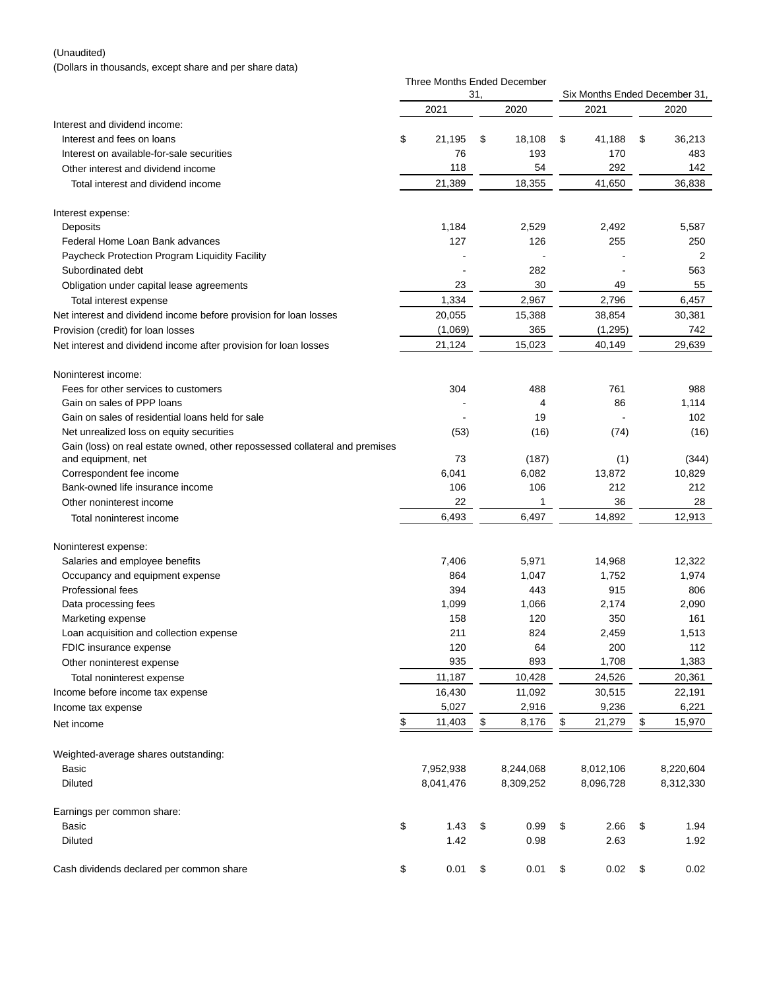# (Unaudited)

(Dollars in thousands, except share and per share data)

|                                                                             | Three Months Ended December |           |     |           |    | Six Months Ended December 31, |    |           |  |  |  |  |
|-----------------------------------------------------------------------------|-----------------------------|-----------|-----|-----------|----|-------------------------------|----|-----------|--|--|--|--|
|                                                                             |                             |           | 31, |           |    |                               |    |           |  |  |  |  |
|                                                                             |                             | 2021      |     | 2020      |    | 2021                          |    | 2020      |  |  |  |  |
| Interest and dividend income:                                               |                             |           |     |           |    |                               |    |           |  |  |  |  |
| Interest and fees on loans                                                  | \$                          | 21,195    | \$  | 18,108    | \$ | 41,188                        | \$ | 36,213    |  |  |  |  |
| Interest on available-for-sale securities                                   |                             | 76        |     | 193       |    | 170                           |    | 483       |  |  |  |  |
| Other interest and dividend income                                          |                             | 118       |     | 54        |    | 292                           |    | 142       |  |  |  |  |
| Total interest and dividend income                                          |                             | 21,389    |     | 18,355    |    | 41,650                        |    | 36,838    |  |  |  |  |
| Interest expense:                                                           |                             |           |     |           |    |                               |    |           |  |  |  |  |
| Deposits                                                                    |                             | 1,184     |     | 2,529     |    | 2,492                         |    | 5,587     |  |  |  |  |
| Federal Home Loan Bank advances                                             |                             | 127       |     | 126       |    | 255                           |    | 250       |  |  |  |  |
| Paycheck Protection Program Liquidity Facility                              |                             |           |     |           |    |                               |    | 2         |  |  |  |  |
| Subordinated debt                                                           |                             |           |     | 282       |    |                               |    | 563       |  |  |  |  |
| Obligation under capital lease agreements                                   |                             | 23        |     | 30        |    | 49                            |    | 55        |  |  |  |  |
| Total interest expense                                                      |                             | 1,334     |     | 2,967     |    | 2,796                         |    | 6,457     |  |  |  |  |
| Net interest and dividend income before provision for loan losses           |                             | 20,055    |     | 15,388    |    | 38,854                        |    | 30,381    |  |  |  |  |
| Provision (credit) for loan losses                                          |                             | (1,069)   |     | 365       |    | (1, 295)                      |    | 742       |  |  |  |  |
| Net interest and dividend income after provision for loan losses            |                             | 21,124    |     | 15,023    |    | 40,149                        |    | 29,639    |  |  |  |  |
| Noninterest income:                                                         |                             |           |     |           |    |                               |    |           |  |  |  |  |
| Fees for other services to customers                                        |                             | 304       |     | 488       |    | 761                           |    | 988       |  |  |  |  |
| Gain on sales of PPP loans                                                  |                             |           |     | 4         |    | 86                            |    | 1,114     |  |  |  |  |
| Gain on sales of residential loans held for sale                            |                             |           |     | 19        |    |                               |    | 102       |  |  |  |  |
| Net unrealized loss on equity securities                                    |                             | (53)      |     | (16)      |    | (74)                          |    | (16)      |  |  |  |  |
| Gain (loss) on real estate owned, other repossessed collateral and premises |                             |           |     |           |    |                               |    |           |  |  |  |  |
| and equipment, net                                                          |                             | 73        |     | (187)     |    | (1)                           |    | (344)     |  |  |  |  |
| Correspondent fee income                                                    |                             | 6,041     |     | 6,082     |    | 13,872                        |    | 10,829    |  |  |  |  |
| Bank-owned life insurance income                                            |                             | 106       |     | 106       |    | 212                           |    | 212       |  |  |  |  |
| Other noninterest income                                                    |                             | 22        |     | 1         |    | 36                            |    | 28        |  |  |  |  |
| Total noninterest income                                                    |                             | 6,493     |     | 6,497     |    | 14,892                        |    | 12,913    |  |  |  |  |
|                                                                             |                             |           |     |           |    |                               |    |           |  |  |  |  |
| Noninterest expense:                                                        |                             |           |     |           |    |                               |    |           |  |  |  |  |
| Salaries and employee benefits                                              |                             | 7,406     |     | 5,971     |    | 14,968                        |    | 12,322    |  |  |  |  |
| Occupancy and equipment expense                                             |                             | 864       |     | 1,047     |    | 1,752                         |    | 1,974     |  |  |  |  |
| Professional fees                                                           |                             | 394       |     | 443       |    | 915                           |    | 806       |  |  |  |  |
| Data processing fees                                                        |                             | 1,099     |     | 1,066     |    | 2,174                         |    | 2,090     |  |  |  |  |
| Marketing expense                                                           |                             | 158       |     | 120       |    | 350                           |    | 161       |  |  |  |  |
| Loan acquisition and collection expense                                     |                             | 211       |     | 824       |    | 2,459                         |    | 1,513     |  |  |  |  |
| FDIC insurance expense                                                      |                             | 120       |     | 64        |    | 200                           |    | 112       |  |  |  |  |
| Other noninterest expense                                                   |                             | 935       |     | 893       |    | 1,708                         |    | 1,383     |  |  |  |  |
| Total noninterest expense                                                   |                             | 11,187    |     | 10,428    |    | 24,526                        |    | 20,361    |  |  |  |  |
| Income before income tax expense                                            |                             | 16,430    |     | 11,092    |    | 30,515                        |    | 22,191    |  |  |  |  |
| Income tax expense                                                          |                             | 5,027     |     | 2,916     |    | 9,236                         |    | 6,221     |  |  |  |  |
| Net income                                                                  | \$                          | 11,403    | \$  | 8,176     | \$ | 21,279                        | \$ | 15,970    |  |  |  |  |
|                                                                             |                             |           |     |           |    |                               |    |           |  |  |  |  |
| Weighted-average shares outstanding:                                        |                             |           |     |           |    |                               |    |           |  |  |  |  |
| Basic                                                                       |                             | 7,952,938 |     | 8,244,068 |    | 8,012,106                     |    | 8,220,604 |  |  |  |  |
| <b>Diluted</b>                                                              |                             | 8,041,476 |     | 8,309,252 |    | 8,096,728                     |    | 8,312,330 |  |  |  |  |
| Earnings per common share:                                                  |                             |           |     |           |    |                               |    |           |  |  |  |  |
| Basic                                                                       | \$                          | 1.43      | \$  | 0.99      | \$ | 2.66                          | \$ | 1.94      |  |  |  |  |
| <b>Diluted</b>                                                              |                             | 1.42      |     | 0.98      |    | 2.63                          |    | 1.92      |  |  |  |  |
|                                                                             |                             | 0.01      |     | 0.01      |    |                               |    | 0.02      |  |  |  |  |
| Cash dividends declared per common share                                    | \$                          |           | \$  |           | \$ | 0.02                          | \$ |           |  |  |  |  |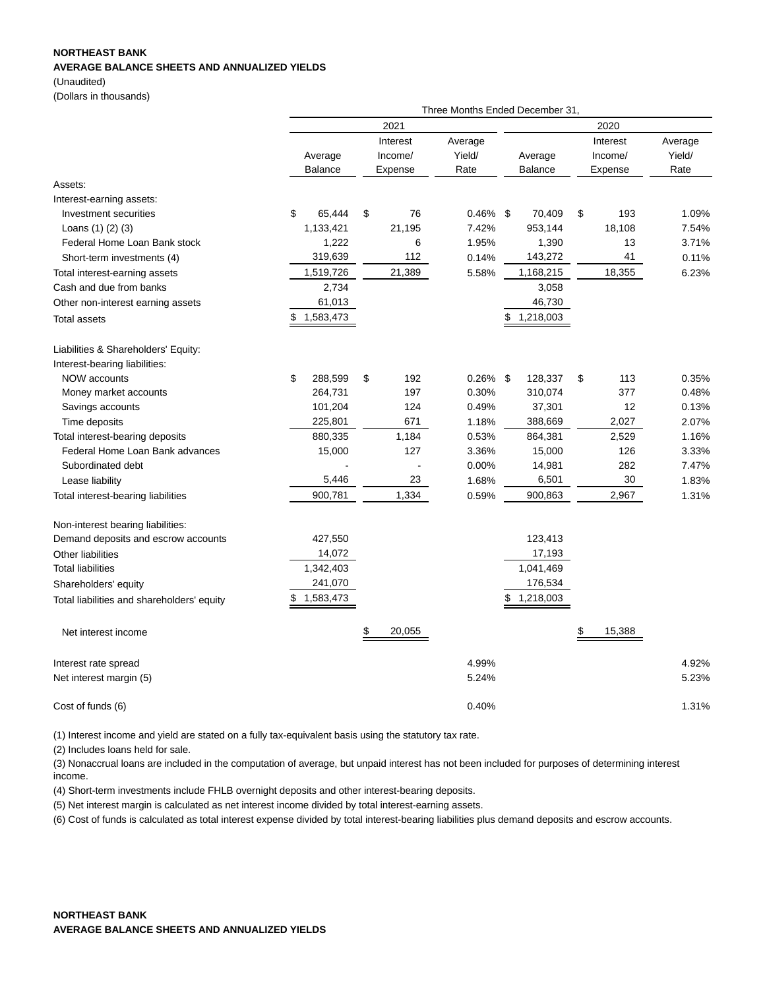## **NORTHEAST BANK AVERAGE BALANCE SHEETS AND ANNUALIZED YIELDS**

(Unaudited)

(Dollars in thousands)

|                                            |         | Three Months Ended December 31, |      |          |             |    |                |    |          |         |  |  |  |  |  |
|--------------------------------------------|---------|---------------------------------|------|----------|-------------|----|----------------|----|----------|---------|--|--|--|--|--|
|                                            |         |                                 | 2020 |          |             |    |                |    |          |         |  |  |  |  |  |
|                                            |         |                                 |      | Interest | Average     |    |                |    | Interest | Average |  |  |  |  |  |
|                                            |         | Average                         |      | Income/  | Yield/      |    | Average        |    | Income/  | Yield/  |  |  |  |  |  |
|                                            | Balance |                                 |      | Expense  | Rate        |    | <b>Balance</b> |    | Expense  | Rate    |  |  |  |  |  |
| Assets:                                    |         |                                 |      |          |             |    |                |    |          |         |  |  |  |  |  |
| Interest-earning assets:                   |         |                                 |      |          |             |    |                |    |          |         |  |  |  |  |  |
| Investment securities                      | \$      | 65,444                          | \$   | 76       | $0.46\%$ \$ |    | 70,409         | \$ | 193      | 1.09%   |  |  |  |  |  |
| Loans $(1)$ $(2)$ $(3)$                    |         | 1,133,421                       |      | 21,195   | 7.42%       |    | 953,144        |    | 18,108   | 7.54%   |  |  |  |  |  |
| Federal Home Loan Bank stock               |         | 1,222                           |      | 6        | 1.95%       |    | 1,390          |    | 13       | 3.71%   |  |  |  |  |  |
| Short-term investments (4)                 |         | 319,639                         |      | 112      | 0.14%       |    | 143,272        |    | 41       | 0.11%   |  |  |  |  |  |
| Total interest-earning assets              |         | 1,519,726                       |      | 21,389   | 5.58%       |    | 1,168,215      |    | 18,355   | 6.23%   |  |  |  |  |  |
| Cash and due from banks                    |         | 2,734                           |      |          |             |    | 3,058          |    |          |         |  |  |  |  |  |
| Other non-interest earning assets          |         | 61,013                          |      |          |             |    | 46,730         |    |          |         |  |  |  |  |  |
| <b>Total assets</b>                        |         | 1,583,473                       |      |          |             |    | 1,218,003      |    |          |         |  |  |  |  |  |
| Liabilities & Shareholders' Equity:        |         |                                 |      |          |             |    |                |    |          |         |  |  |  |  |  |
| Interest-bearing liabilities:              |         |                                 |      |          |             |    |                |    |          |         |  |  |  |  |  |
| NOW accounts                               | \$      | 288,599                         | \$   | 192      | $0.26\%$ \$ |    | 128,337        | \$ | 113      | 0.35%   |  |  |  |  |  |
| Money market accounts                      |         | 264,731                         |      | 197      | 0.30%       |    | 310,074        |    | 377      | 0.48%   |  |  |  |  |  |
| Savings accounts                           |         | 101,204                         |      | 124      | 0.49%       |    | 37,301         |    | 12       | 0.13%   |  |  |  |  |  |
| Time deposits                              |         | 225,801                         |      | 671      | 1.18%       |    | 388,669        |    | 2,027    | 2.07%   |  |  |  |  |  |
| Total interest-bearing deposits            |         | 880,335                         |      | 1,184    | 0.53%       |    | 864,381        |    | 2,529    | 1.16%   |  |  |  |  |  |
| Federal Home Loan Bank advances            |         | 15,000                          |      | 127      | 3.36%       |    | 15,000         |    | 126      | 3.33%   |  |  |  |  |  |
| Subordinated debt                          |         |                                 |      | ÷.       | 0.00%       |    | 14,981         |    | 282      | 7.47%   |  |  |  |  |  |
| Lease liability                            |         | 5,446                           |      | 23       | 1.68%       |    | 6,501          |    | 30       | 1.83%   |  |  |  |  |  |
| Total interest-bearing liabilities         |         | 900,781                         |      | 1,334    | 0.59%       |    | 900,863        |    | 2,967    | 1.31%   |  |  |  |  |  |
| Non-interest bearing liabilities:          |         |                                 |      |          |             |    |                |    |          |         |  |  |  |  |  |
| Demand deposits and escrow accounts        |         | 427,550                         |      |          |             |    | 123,413        |    |          |         |  |  |  |  |  |
| Other liabilities                          |         | 14,072                          |      |          |             |    | 17,193         |    |          |         |  |  |  |  |  |
| <b>Total liabilities</b>                   |         | 1,342,403                       |      |          |             |    | 1,041,469      |    |          |         |  |  |  |  |  |
| Shareholders' equity                       |         | 241,070                         |      |          |             |    | 176,534        |    |          |         |  |  |  |  |  |
| Total liabilities and shareholders' equity |         | 1,583,473                       |      |          |             | \$ | 1,218,003      |    |          |         |  |  |  |  |  |
| Net interest income                        |         |                                 |      | 20,055   |             |    |                |    | 15,388   |         |  |  |  |  |  |
| Interest rate spread                       |         |                                 |      |          | 4.99%       |    |                |    |          | 4.92%   |  |  |  |  |  |
| Net interest margin (5)                    |         |                                 |      |          | 5.24%       |    |                |    |          | 5.23%   |  |  |  |  |  |
| Cost of funds (6)                          |         |                                 |      |          | 0.40%       |    |                |    |          | 1.31%   |  |  |  |  |  |

(1) Interest income and yield are stated on a fully tax-equivalent basis using the statutory tax rate.

(2) Includes loans held for sale.

(3) Nonaccrual loans are included in the computation of average, but unpaid interest has not been included for purposes of determining interest income.

(4) Short-term investments include FHLB overnight deposits and other interest-bearing deposits.

(5) Net interest margin is calculated as net interest income divided by total interest-earning assets.

(6) Cost of funds is calculated as total interest expense divided by total interest-bearing liabilities plus demand deposits and escrow accounts.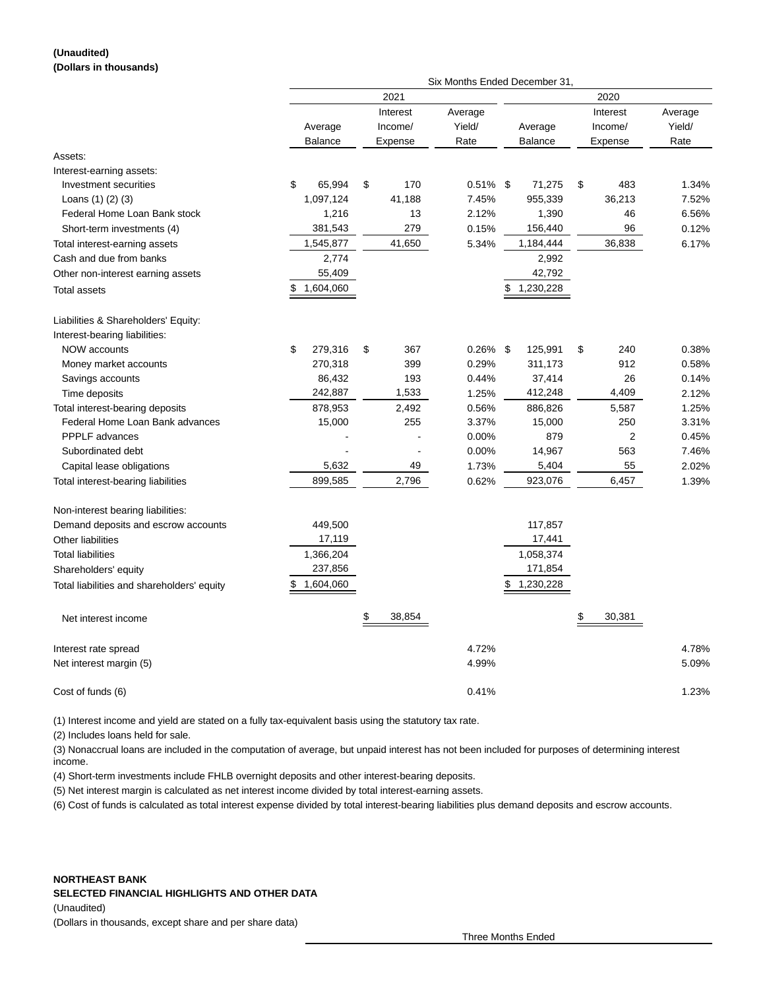## **(Unaudited) (Dollars in thousands)**

|                                            |         |                |           | Six Months Ended December 31, |                |    |          |         |
|--------------------------------------------|---------|----------------|-----------|-------------------------------|----------------|----|----------|---------|
|                                            |         |                | 2021      |                               |                |    | 2020     |         |
|                                            |         |                | Interest  | Average                       |                |    | Interest | Average |
|                                            | Average |                | Income/   | Yield/                        | Average        |    | Income/  | Yield/  |
|                                            |         | <b>Balance</b> | Expense   | Rate                          | <b>Balance</b> |    | Expense  | Rate    |
| Assets:                                    |         |                |           |                               |                |    |          |         |
| Interest-earning assets:                   |         |                |           |                               |                |    |          |         |
| Investment securities                      | \$      | 65,994         | \$<br>170 | $0.51\%$ \$                   | 71,275         | \$ | 483      | 1.34%   |
| Loans $(1)$ $(2)$ $(3)$                    |         | 1,097,124      | 41,188    | 7.45%                         | 955,339        |    | 36,213   | 7.52%   |
| Federal Home Loan Bank stock               |         | 1,216          | 13        | 2.12%                         | 1,390          |    | 46       | 6.56%   |
| Short-term investments (4)                 |         | 381,543        | 279       | 0.15%                         | 156,440        |    | 96       | 0.12%   |
| Total interest-earning assets              |         | 1,545,877      | 41,650    | 5.34%                         | 1,184,444      |    | 36,838   | 6.17%   |
| Cash and due from banks                    |         | 2,774          |           |                               | 2,992          |    |          |         |
| Other non-interest earning assets          |         | 55,409         |           |                               | 42,792         |    |          |         |
| <b>Total assets</b>                        | \$      | 1,604,060      |           |                               | 1,230,228      |    |          |         |
| Liabilities & Shareholders' Equity:        |         |                |           |                               |                |    |          |         |
| Interest-bearing liabilities:              |         |                |           |                               |                |    |          |         |
| <b>NOW accounts</b>                        | \$      | 279,316        | \$<br>367 | $0.26\%$ \$                   | 125,991        | \$ | 240      | 0.38%   |
| Money market accounts                      |         | 270,318        | 399       | 0.29%                         | 311,173        |    | 912      | 0.58%   |
| Savings accounts                           |         | 86,432         | 193       | 0.44%                         | 37,414         |    | 26       | 0.14%   |
| Time deposits                              |         | 242,887        | 1,533     | 1.25%                         | 412,248        |    | 4,409    | 2.12%   |
| Total interest-bearing deposits            |         | 878,953        | 2,492     | 0.56%                         | 886,826        |    | 5,587    | 1.25%   |
| Federal Home Loan Bank advances            |         | 15,000         | 255       | 3.37%                         | 15,000         |    | 250      | 3.31%   |
| <b>PPPLF</b> advances                      |         |                |           | 0.00%                         | 879            |    | 2        | 0.45%   |
| Subordinated debt                          |         |                |           | 0.00%                         | 14,967         |    | 563      | 7.46%   |
| Capital lease obligations                  |         | 5,632          | 49        | 1.73%                         | 5,404          |    | 55       | 2.02%   |
| Total interest-bearing liabilities         |         | 899,585        | 2,796     | 0.62%                         | 923,076        |    | 6,457    | 1.39%   |
| Non-interest bearing liabilities:          |         |                |           |                               |                |    |          |         |
| Demand deposits and escrow accounts        |         | 449,500        |           |                               | 117,857        |    |          |         |
| Other liabilities                          |         | 17,119         |           |                               | 17,441         |    |          |         |
| <b>Total liabilities</b>                   |         | 1,366,204      |           |                               | 1,058,374      |    |          |         |
| Shareholders' equity                       |         | 237,856        |           |                               | 171,854        |    |          |         |
| Total liabilities and shareholders' equity | \$      | 1,604,060      |           |                               | 1,230,228      |    |          |         |
| Net interest income                        |         |                | 38,854    |                               |                | \$ | 30,381   |         |
| Interest rate spread                       |         |                |           | 4.72%                         |                |    |          | 4.78%   |
| Net interest margin (5)                    |         |                |           | 4.99%                         |                |    |          | 5.09%   |
| Cost of funds (6)                          |         |                |           | 0.41%                         |                |    |          | 1.23%   |

(1) Interest income and yield are stated on a fully tax-equivalent basis using the statutory tax rate.

(2) Includes loans held for sale.

(3) Nonaccrual loans are included in the computation of average, but unpaid interest has not been included for purposes of determining interest income.

(4) Short-term investments include FHLB overnight deposits and other interest-bearing deposits.

(5) Net interest margin is calculated as net interest income divided by total interest-earning assets.

(6) Cost of funds is calculated as total interest expense divided by total interest-bearing liabilities plus demand deposits and escrow accounts.

**NORTHEAST BANK SELECTED FINANCIAL HIGHLIGHTS AND OTHER DATA** (Unaudited) (Dollars in thousands, except share and per share data)

Three Months Ended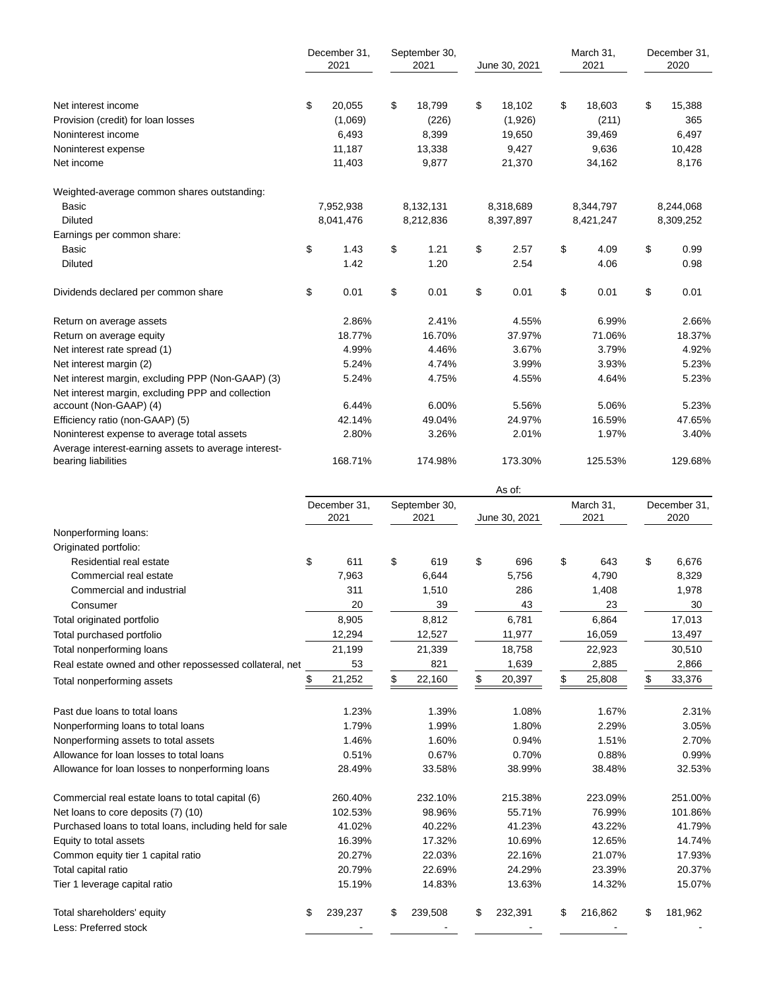|                                                                             |           | December 31,<br>2021 |           | September 30,<br>2021 |           | June 30, 2021 | March 31,<br>2021 |           | December 31.<br>2020 |         |
|-----------------------------------------------------------------------------|-----------|----------------------|-----------|-----------------------|-----------|---------------|-------------------|-----------|----------------------|---------|
| Net interest income                                                         | \$        | 20,055               | \$        | 18,799                | \$        | 18,102        | \$                | 18,603    | \$                   | 15,388  |
| Provision (credit) for loan losses                                          |           | (1,069)              |           | (226)                 |           | (1,926)       |                   | (211)     |                      | 365     |
| Noninterest income                                                          |           | 6,493                |           | 8,399                 |           | 19,650        |                   | 39,469    |                      | 6,497   |
| Noninterest expense                                                         |           | 11,187               |           | 13,338                |           | 9,427         |                   | 9,636     |                      | 10,428  |
| Net income                                                                  |           | 11,403               |           | 9,877                 |           | 21,370        |                   | 34,162    |                      | 8,176   |
| Weighted-average common shares outstanding:                                 |           |                      |           |                       |           |               |                   |           |                      |         |
| Basic                                                                       | 7,952,938 |                      |           | 8,132,131             |           | 8,318,689     |                   | 8,344,797 | 8,244,068            |         |
| <b>Diluted</b>                                                              | 8,041,476 |                      | 8,212,836 |                       | 8,397,897 |               | 8,421,247         |           | 8,309,252            |         |
| Earnings per common share:                                                  |           |                      |           |                       |           |               |                   |           |                      |         |
| Basic                                                                       | \$        | 1.43                 | \$        | 1.21                  | \$        | 2.57          | \$                | 4.09      | \$                   | 0.99    |
| <b>Diluted</b>                                                              |           | 1.42                 |           | 1.20                  |           | 2.54          |                   | 4.06      |                      | 0.98    |
| Dividends declared per common share                                         | \$        | 0.01                 | \$        | 0.01                  | \$        | 0.01          | \$                | 0.01      | \$                   | 0.01    |
| Return on average assets                                                    |           | 2.86%                |           | 2.41%                 |           | 4.55%         |                   | 6.99%     |                      | 2.66%   |
| Return on average equity                                                    |           | 18.77%               |           | 16.70%                |           | 37.97%        |                   | 71.06%    |                      | 18.37%  |
| Net interest rate spread (1)                                                |           | 4.99%                |           | 4.46%                 |           | 3.67%         |                   | 3.79%     |                      | 4.92%   |
| Net interest margin (2)                                                     |           | 5.24%                |           | 4.74%                 |           | 3.99%         |                   | 3.93%     |                      | 5.23%   |
| Net interest margin, excluding PPP (Non-GAAP) (3)                           |           | 5.24%                |           | 4.75%                 |           | 4.55%         |                   | 4.64%     |                      | 5.23%   |
| Net interest margin, excluding PPP and collection<br>account (Non-GAAP) (4) |           | 6.44%                |           | 6.00%                 |           | 5.56%         |                   | 5.06%     |                      | 5.23%   |
| Efficiency ratio (non-GAAP) (5)                                             |           | 42.14%               |           | 49.04%                |           | 24.97%        |                   | 16.59%    |                      | 47.65%  |
| Noninterest expense to average total assets                                 |           | 2.80%                |           | 3.26%                 |           | 2.01%         |                   | 1.97%     |                      | 3.40%   |
| Average interest-earning assets to average interest-                        |           |                      |           |                       |           |               |                   |           |                      |         |
| bearing liabilities                                                         |           | 168.71%              |           | 174.98%               |           | 173.30%       |                   | 125.53%   |                      | 129.68% |

|                                                         | As of: |                      |    |                       |    |               |    |                   |    |                      |
|---------------------------------------------------------|--------|----------------------|----|-----------------------|----|---------------|----|-------------------|----|----------------------|
|                                                         |        | December 31,<br>2021 |    | September 30,<br>2021 |    | June 30, 2021 |    | March 31,<br>2021 |    | December 31,<br>2020 |
| Nonperforming loans:                                    |        |                      |    |                       |    |               |    |                   |    |                      |
| Originated portfolio:                                   |        |                      |    |                       |    |               |    |                   |    |                      |
| Residential real estate                                 | \$     | 611                  | \$ | 619                   | \$ | 696           | \$ | 643               | \$ | 6,676                |
| Commercial real estate                                  |        | 7,963                |    | 6,644                 |    | 5,756         |    | 4,790             |    | 8,329                |
| Commercial and industrial                               |        | 311                  |    | 1,510                 |    | 286           |    | 1,408             |    | 1,978                |
| Consumer                                                |        | 20                   |    | 39                    |    | 43            |    | 23                |    | 30                   |
| Total originated portfolio                              |        | 8,905                |    | 8,812                 |    | 6,781         |    | 6,864             |    | 17,013               |
| Total purchased portfolio                               |        | 12,294               |    | 12,527                |    | 11,977        |    | 16,059            |    | 13,497               |
| Total nonperforming loans                               |        | 21,199               |    | 21,339                |    | 18,758        |    | 22,923            |    | 30,510               |
| Real estate owned and other repossessed collateral, net |        | 53                   |    | 821                   |    | 1,639         |    | 2,885             |    | 2,866                |
| Total nonperforming assets                              | \$     | 21,252               | \$ | 22,160                | \$ | 20,397        | \$ | 25,808            | S  | 33,376               |
| Past due loans to total loans                           |        | 1.23%                |    | 1.39%                 |    | 1.08%         |    | 1.67%             |    | 2.31%                |
| Nonperforming loans to total loans                      |        | 1.79%                |    | 1.99%                 |    | 1.80%         |    | 2.29%             |    | 3.05%                |
| Nonperforming assets to total assets                    |        | 1.46%                |    | 1.60%                 |    | 0.94%         |    | 1.51%             |    | 2.70%                |
| Allowance for loan losses to total loans                |        | 0.51%                |    | 0.67%                 |    | 0.70%         |    | 0.88%             |    | 0.99%                |
| Allowance for loan losses to nonperforming loans        |        | 28.49%               |    | 33.58%                |    | 38.99%        |    | 38.48%            |    | 32.53%               |
| Commercial real estate loans to total capital (6)       |        | 260.40%              |    | 232.10%               |    | 215.38%       |    | 223.09%           |    | 251.00%              |
| Net loans to core deposits (7) (10)                     |        | 102.53%              |    | 98.96%                |    | 55.71%        |    | 76.99%            |    | 101.86%              |
| Purchased loans to total loans, including held for sale |        | 41.02%               |    | 40.22%                |    | 41.23%        |    | 43.22%            |    | 41.79%               |
| Equity to total assets                                  |        | 16.39%               |    | 17.32%                |    | 10.69%        |    | 12.65%            |    | 14.74%               |
| Common equity tier 1 capital ratio                      |        | 20.27%               |    | 22.03%                |    | 22.16%        |    | 21.07%            |    | 17.93%               |
| Total capital ratio                                     |        | 20.79%               |    | 22.69%                |    | 24.29%        |    | 23.39%            |    | 20.37%               |
| Tier 1 leverage capital ratio                           |        | 15.19%               |    | 14.83%                |    | 13.63%        |    | 14.32%            |    | 15.07%               |
| Total shareholders' equity                              | \$     | 239,237              | \$ | 239,508               | \$ | 232,391       | \$ | 216,862           | \$ | 181,962              |
| Less: Preferred stock                                   |        |                      |    |                       |    |               |    |                   |    |                      |